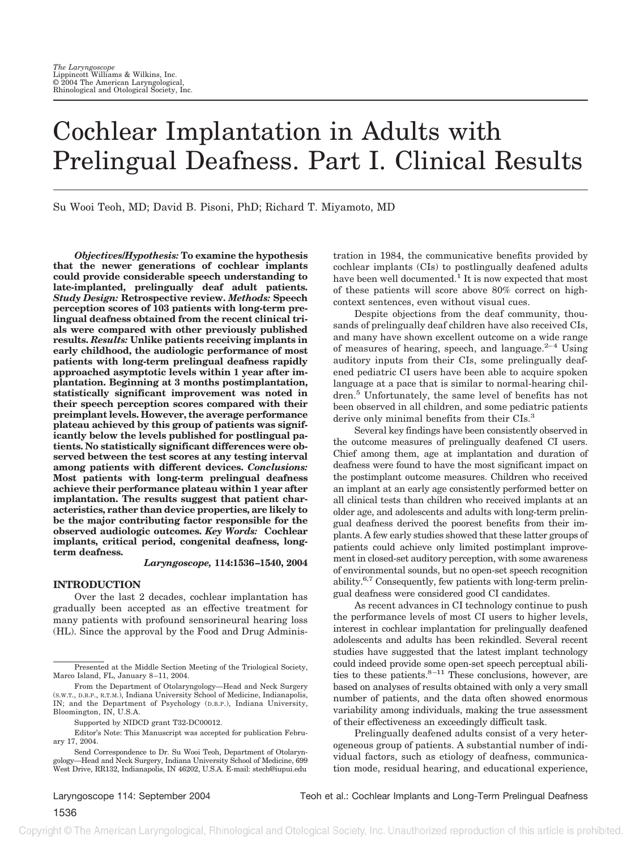# Cochlear Implantation in Adults with Prelingual Deafness. Part I. Clinical Results

Su Wooi Teoh, MD; David B. Pisoni, PhD; Richard T. Miyamoto, MD

*Objectives/Hypothesis:* **To examine the hypothesis that the newer generations of cochlear implants could provide considerable speech understanding to late-implanted, prelingually deaf adult patients.** *Study Design:* **Retrospective review.** *Methods:* **Speech perception scores of 103 patients with long-term prelingual deafness obtained from the recent clinical trials were compared with other previously published results.** *Results:* **Unlike patients receiving implants in early childhood, the audiologic performance of most patients with long-term prelingual deafness rapidly approached asymptotic levels within 1 year after implantation. Beginning at 3 months postimplantation, statistically significant improvement was noted in their speech perception scores compared with their preimplant levels. However, the average performance plateau achieved by this group of patients was significantly below the levels published for postlingual patients. No statistically significant differences were observed between the test scores at any testing interval among patients with different devices.** *Conclusions:* **Most patients with long-term prelingual deafness achieve their performance plateau within 1 year after implantation. The results suggest that patient characteristics, rather than device properties, are likely to be the major contributing factor responsible for the observed audiologic outcomes.** *Key Words:* **Cochlear implants, critical period, congenital deafness, longterm deafness.**

# *Laryngoscope,* **114:1536–1540, 2004**

# **INTRODUCTION**

Over the last 2 decades, cochlear implantation has gradually been accepted as an effective treatment for many patients with profound sensorineural hearing loss (HL). Since the approval by the Food and Drug Adminis-

tration in 1984, the communicative benefits provided by cochlear implants (CIs) to postlingually deafened adults have been well documented.<sup>1</sup> It is now expected that most of these patients will score above 80% correct on highcontext sentences, even without visual cues.

Despite objections from the deaf community, thousands of prelingually deaf children have also received CIs, and many have shown excellent outcome on a wide range of measures of hearing, speech, and language. $2-4$  Using auditory inputs from their CIs, some prelingually deafened pediatric CI users have been able to acquire spoken language at a pace that is similar to normal-hearing children.5 Unfortunately, the same level of benefits has not been observed in all children, and some pediatric patients derive only minimal benefits from their CIs.<sup>3</sup>

Several key findings have been consistently observed in the outcome measures of prelingually deafened CI users. Chief among them, age at implantation and duration of deafness were found to have the most significant impact on the postimplant outcome measures. Children who received an implant at an early age consistently performed better on all clinical tests than children who received implants at an older age, and adolescents and adults with long-term prelingual deafness derived the poorest benefits from their implants. A few early studies showed that these latter groups of patients could achieve only limited postimplant improvement in closed-set auditory perception, with some awareness of environmental sounds, but no open-set speech recognition ability.6,7 Consequently, few patients with long-term prelingual deafness were considered good CI candidates.

As recent advances in CI technology continue to push the performance levels of most CI users to higher levels, interest in cochlear implantation for prelingually deafened adolescents and adults has been rekindled. Several recent studies have suggested that the latest implant technology could indeed provide some open-set speech perceptual abilities to these patients. $8-11$  These conclusions, however, are based on analyses of results obtained with only a very small number of patients, and the data often showed enormous variability among individuals, making the true assessment of their effectiveness an exceedingly difficult task.

Prelingually deafened adults consist of a very heterogeneous group of patients. A substantial number of individual factors, such as etiology of deafness, communication mode, residual hearing, and educational experience,

Presented at the Middle Section Meeting of the Triological Society, Marco Island, FL, January 8–11, 2004.

From the Department of Otolaryngology—Head and Neck Surgery (S.W.T., D.B.P., R.T.M.), Indiana University School of Medicine, Indianapolis, IN; and the Department of Psychology (D.B.P.), Indiana University, Bloomington, IN, U.S.A.

Supported by NIDCD grant T32-DC00012.

Editor's Note: This Manuscript was accepted for publication February 17, 2004.

Send Correspondence to Dr. Su Wooi Teoh, Department of Otolaryngology—Head and Neck Surgery, Indiana University School of Medicine, 699 West Drive, RR132, Indianapolis, IN 46202, U.S.A. E-mail: stech@iupui.edu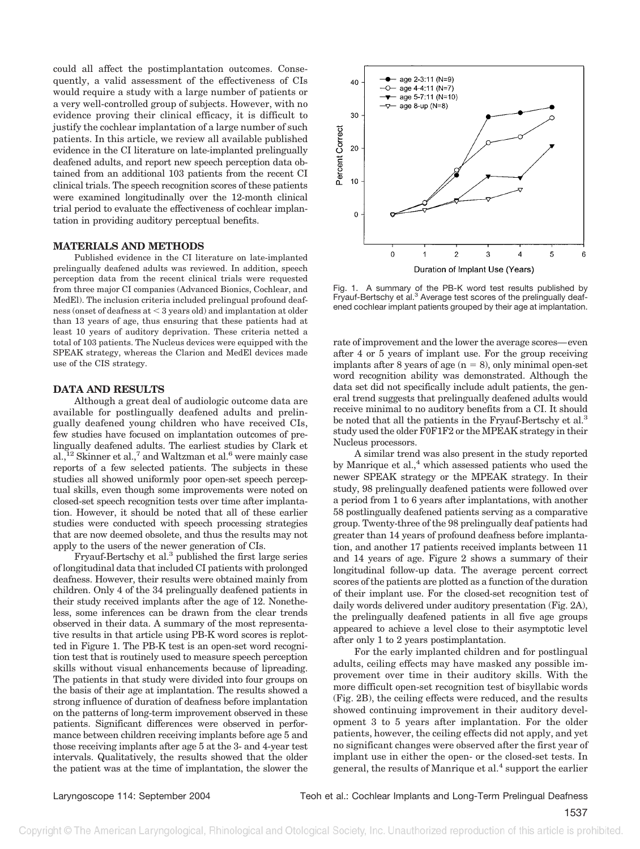could all affect the postimplantation outcomes. Consequently, a valid assessment of the effectiveness of CIs would require a study with a large number of patients or a very well-controlled group of subjects. However, with no evidence proving their clinical efficacy, it is difficult to justify the cochlear implantation of a large number of such patients. In this article, we review all available published evidence in the CI literature on late-implanted prelingually deafened adults, and report new speech perception data obtained from an additional 103 patients from the recent CI clinical trials. The speech recognition scores of these patients were examined longitudinally over the 12-month clinical trial period to evaluate the effectiveness of cochlear implantation in providing auditory perceptual benefits.

# **MATERIALS AND METHODS**

Published evidence in the CI literature on late-implanted prelingually deafened adults was reviewed. In addition, speech perception data from the recent clinical trials were requested from three major CI companies (Advanced Bionics, Cochlear, and MedEl). The inclusion criteria included prelingual profound deafness (onset of deafness at  $<$  3 years old) and implantation at older than 13 years of age, thus ensuring that these patients had at least 10 years of auditory deprivation. These criteria netted a total of 103 patients. The Nucleus devices were equipped with the SPEAK strategy, whereas the Clarion and MedEl devices made use of the CIS strategy.

# **DATA AND RESULTS**

Although a great deal of audiologic outcome data are available for postlingually deafened adults and prelingually deafened young children who have received CIs, few studies have focused on implantation outcomes of prelingually deafened adults. The earliest studies by Clark et  $al.,<sup>12</sup> Skinner et al.,<sup>7</sup> and Waltzman et al.<sup>6</sup> were mainly case$ reports of a few selected patients. The subjects in these studies all showed uniformly poor open-set speech perceptual skills, even though some improvements were noted on closed-set speech recognition tests over time after implantation. However, it should be noted that all of these earlier studies were conducted with speech processing strategies that are now deemed obsolete, and thus the results may not apply to the users of the newer generation of CIs.

Fryauf-Bertschy et al.3 published the first large series of longitudinal data that included CI patients with prolonged deafness. However, their results were obtained mainly from children. Only 4 of the 34 prelingually deafened patients in their study received implants after the age of 12. Nonetheless, some inferences can be drawn from the clear trends observed in their data. A summary of the most representative results in that article using PB-K word scores is replotted in Figure 1. The PB-K test is an open-set word recognition test that is routinely used to measure speech perception skills without visual enhancements because of lipreading. The patients in that study were divided into four groups on the basis of their age at implantation. The results showed a strong influence of duration of deafness before implantation on the patterns of long-term improvement observed in these patients. Significant differences were observed in performance between children receiving implants before age 5 and those receiving implants after age 5 at the 3- and 4-year test intervals. Qualitatively, the results showed that the older the patient was at the time of implantation, the slower the



Fig. 1. A summary of the PB-K word test results published by Fryauf-Bertschy et al.<sup>3</sup> Average test scores of the prelingually deafened cochlear implant patients grouped by their age at implantation.

rate of improvement and the lower the average scores—even after 4 or 5 years of implant use. For the group receiving implants after 8 years of age  $(n = 8)$ , only minimal open-set word recognition ability was demonstrated. Although the data set did not specifically include adult patients, the general trend suggests that prelingually deafened adults would receive minimal to no auditory benefits from a CI. It should be noted that all the patients in the Fryauf-Bertschy et al.<sup>3</sup> study used the older F0F1F2 or the MPEAK strategy in their Nucleus processors.

A similar trend was also present in the study reported by Manrique et al.,<sup>4</sup> which assessed patients who used the newer SPEAK strategy or the MPEAK strategy. In their study, 98 prelingually deafened patients were followed over a period from 1 to 6 years after implantations, with another 58 postlingually deafened patients serving as a comparative group. Twenty-three of the 98 prelingually deaf patients had greater than 14 years of profound deafness before implantation, and another 17 patients received implants between 11 and 14 years of age. Figure 2 shows a summary of their longitudinal follow-up data. The average percent correct scores of the patients are plotted as a function of the duration of their implant use. For the closed-set recognition test of daily words delivered under auditory presentation (Fig. 2A), the prelingually deafened patients in all five age groups appeared to achieve a level close to their asymptotic level after only 1 to 2 years postimplantation.

For the early implanted children and for postlingual adults, ceiling effects may have masked any possible improvement over time in their auditory skills. With the more difficult open-set recognition test of bisyllabic words (Fig. 2B), the ceiling effects were reduced, and the results showed continuing improvement in their auditory development 3 to 5 years after implantation. For the older patients, however, the ceiling effects did not apply, and yet no significant changes were observed after the first year of implant use in either the open- or the closed-set tests. In general, the results of Manrique et al.<sup>4</sup> support the earlier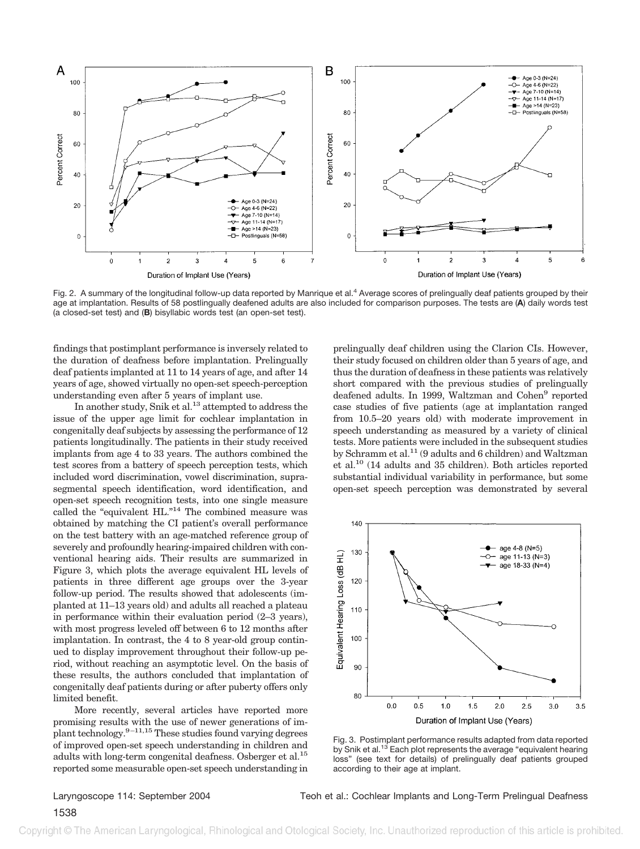

Fig. 2. A summary of the longitudinal follow-up data reported by Manrique et al.<sup>4</sup> Average scores of prelingually deaf patients grouped by their age at implantation. Results of 58 postlingually deafened adults are also included for comparison purposes. The tests are (**A**) daily words test (a closed-set test) and (**B**) bisyllabic words test (an open-set test).

findings that postimplant performance is inversely related to the duration of deafness before implantation. Prelingually deaf patients implanted at 11 to 14 years of age, and after 14 years of age, showed virtually no open-set speech-perception understanding even after 5 years of implant use.

In another study, Snik et al.<sup>13</sup> attempted to address the issue of the upper age limit for cochlear implantation in congenitally deaf subjects by assessing the performance of 12 patients longitudinally. The patients in their study received implants from age 4 to 33 years. The authors combined the test scores from a battery of speech perception tests, which included word discrimination, vowel discrimination, suprasegmental speech identification, word identification, and open-set speech recognition tests, into one single measure called the "equivalent HL." <sup>14</sup> The combined measure was obtained by matching the CI patient's overall performance on the test battery with an age-matched reference group of severely and profoundly hearing-impaired children with conventional hearing aids. Their results are summarized in Figure 3, which plots the average equivalent HL levels of patients in three different age groups over the 3-year follow-up period. The results showed that adolescents (implanted at 11–13 years old) and adults all reached a plateau in performance within their evaluation period (2–3 years), with most progress leveled off between 6 to 12 months after implantation. In contrast, the 4 to 8 year-old group continued to display improvement throughout their follow-up period, without reaching an asymptotic level. On the basis of these results, the authors concluded that implantation of congenitally deaf patients during or after puberty offers only limited benefit.

More recently, several articles have reported more promising results with the use of newer generations of implant technology. $9-11,15$  These studies found varying degrees of improved open-set speech understanding in children and adults with long-term congenital deafness. Osberger et al.15 reported some measurable open-set speech understanding in

prelingually deaf children using the Clarion CIs. However, their study focused on children older than 5 years of age, and thus the duration of deafness in these patients was relatively short compared with the previous studies of prelingually deafened adults. In 1999, Waltzman and Cohen<sup>9</sup> reported case studies of five patients (age at implantation ranged from 10.5–20 years old) with moderate improvement in speech understanding as measured by a variety of clinical tests. More patients were included in the subsequent studies by Schramm et al.11 (9 adults and 6 children) and Waltzman et al.10 (14 adults and 35 children). Both articles reported substantial individual variability in performance, but some open-set speech perception was demonstrated by several



Fig. 3. Postimplant performance results adapted from data reported by Snik et al.<sup>13</sup> Each plot represents the average "equivalent hearing" loss" (see text for details) of prelingually deaf patients grouped according to their age at implant.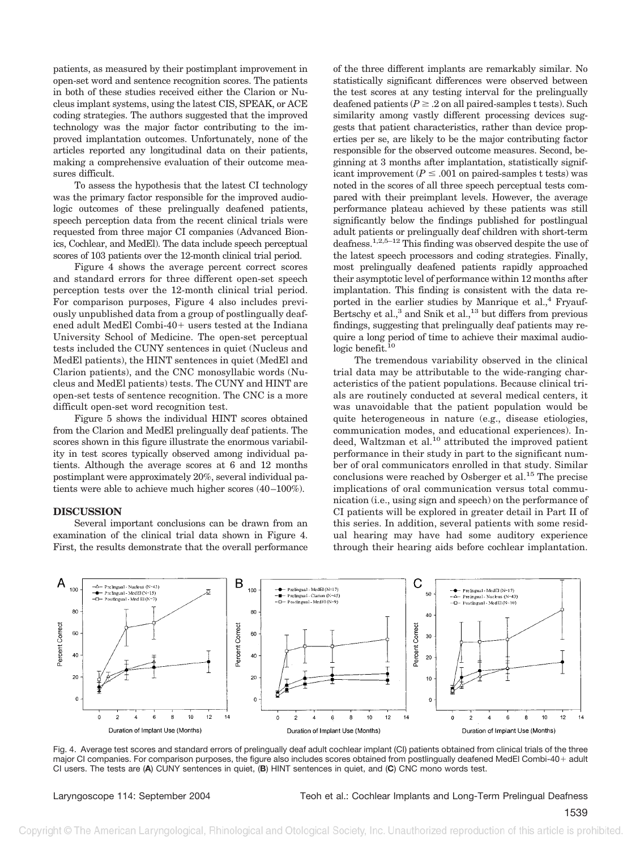patients, as measured by their postimplant improvement in open-set word and sentence recognition scores. The patients in both of these studies received either the Clarion or Nucleus implant systems, using the latest CIS, SPEAK, or ACE coding strategies. The authors suggested that the improved technology was the major factor contributing to the improved implantation outcomes. Unfortunately, none of the articles reported any longitudinal data on their patients, making a comprehensive evaluation of their outcome measures difficult.

To assess the hypothesis that the latest CI technology was the primary factor responsible for the improved audiologic outcomes of these prelingually deafened patients, speech perception data from the recent clinical trials were requested from three major CI companies (Advanced Bionics, Cochlear, and MedEl). The data include speech perceptual scores of 103 patients over the 12-month clinical trial period.

Figure 4 shows the average percent correct scores and standard errors for three different open-set speech perception tests over the 12-month clinical trial period. For comparison purposes, Figure 4 also includes previously unpublished data from a group of postlingually deafened adult MedEl Combi-40+ users tested at the Indiana University School of Medicine. The open-set perceptual tests included the CUNY sentences in quiet (Nucleus and MedEl patients), the HINT sentences in quiet (MedEl and Clarion patients), and the CNC monosyllabic words (Nucleus and MedEl patients) tests. The CUNY and HINT are open-set tests of sentence recognition. The CNC is a more difficult open-set word recognition test.

Figure 5 shows the individual HINT scores obtained from the Clarion and MedEl prelingually deaf patients. The scores shown in this figure illustrate the enormous variability in test scores typically observed among individual patients. Although the average scores at 6 and 12 months postimplant were approximately 20%, several individual patients were able to achieve much higher scores (40–100%).

# **DISCUSSION**

Several important conclusions can be drawn from an examination of the clinical trial data shown in Figure 4. First, the results demonstrate that the overall performance

of the three different implants are remarkably similar. No statistically significant differences were observed between the test scores at any testing interval for the prelingually deafened patients ( $P \ge 0.2$  on all paired-samples t tests). Such similarity among vastly different processing devices suggests that patient characteristics, rather than device properties per se, are likely to be the major contributing factor responsible for the observed outcome measures. Second, beginning at 3 months after implantation, statistically significant improvement ( $P \leq .001$  on paired-samples t tests) was noted in the scores of all three speech perceptual tests compared with their preimplant levels. However, the average performance plateau achieved by these patients was still significantly below the findings published for postlingual adult patients or prelingually deaf children with short-term deafness.1,2,5–12 This finding was observed despite the use of the latest speech processors and coding strategies. Finally, most prelingually deafened patients rapidly approached their asymptotic level of performance within 12 months after implantation. This finding is consistent with the data reported in the earlier studies by Manrique et al.,<sup>4</sup> Fryauf-Bertschy et al.,<sup>3</sup> and Snik et al.,<sup>13</sup> but differs from previous findings, suggesting that prelingually deaf patients may require a long period of time to achieve their maximal audiologic benefit.<sup>10</sup>

The tremendous variability observed in the clinical trial data may be attributable to the wide-ranging characteristics of the patient populations. Because clinical trials are routinely conducted at several medical centers, it was unavoidable that the patient population would be quite heterogeneous in nature (e.g., disease etiologies, communication modes, and educational experiences). Indeed, Waltzman et al.<sup>10</sup> attributed the improved patient performance in their study in part to the significant number of oral communicators enrolled in that study. Similar conclusions were reached by Osberger et al.<sup>15</sup> The precise implications of oral communication versus total communication (i.e., using sign and speech) on the performance of CI patients will be explored in greater detail in Part II of this series. In addition, several patients with some residual hearing may have had some auditory experience through their hearing aids before cochlear implantation.



Fig. 4. Average test scores and standard errors of prelingually deaf adult cochlear implant (CI) patients obtained from clinical trials of the three major CI companies. For comparison purposes, the figure also includes scores obtained from postlingually deafened MedEl Combi-40+ adult CI users. The tests are (**A**) CUNY sentences in quiet, (**B**) HINT sentences in quiet, and (**C**) CNC mono words test.